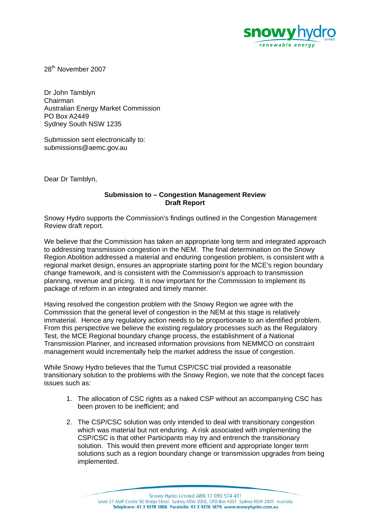

28th November 2007

Dr John Tamblyn Chairman Australian Energy Market Commission PO Box A2449 Sydney South NSW 1235

Submission sent electronically to: submissions@aemc.gov.au

Dear Dr Tamblyn,

## **Submission to – Congestion Management Review Draft Report**

Snowy Hydro supports the Commission's findings outlined in the Congestion Management Review draft report.

We believe that the Commission has taken an appropriate long term and integrated approach to addressing transmission congestion in the NEM. The final determination on the Snowy Region Abolition addressed a material and enduring congestion problem, is consistent with a regional market design, ensures an appropriate starting point for the MCE's region boundary change framework, and is consistent with the Commission's approach to transmission planning, revenue and pricing. It is now important for the Commission to implement its package of reform in an integrated and timely manner.

Having resolved the congestion problem with the Snowy Region we agree with the Commission that the general level of congestion in the NEM at this stage is relatively immaterial. Hence any regulatory action needs to be proportionate to an identified problem. From this perspective we believe the existing regulatory processes such as the Regulatory Test, the MCE Regional boundary change process, the establishment of a National Transmission Planner, and increased information provisions from NEMMCO on constraint management would incrementally help the market address the issue of congestion.

While Snowy Hydro believes that the Tumut CSP/CSC trial provided a reasonable transitionary solution to the problems with the Snowy Region, we note that the concept faces issues such as:

- 1. The allocation of CSC rights as a naked CSP without an accompanying CSC has been proven to be inefficient; and
- 2. The CSP/CSC solution was only intended to deal with transitionary congestion which was material but not enduring. A risk associated with implementing the CSP/CSC is that other Participants may try and entrench the transitionary solution. This would then prevent more efficient and appropriate longer term solutions such as a region boundary change or transmission upgrades from being implemented.